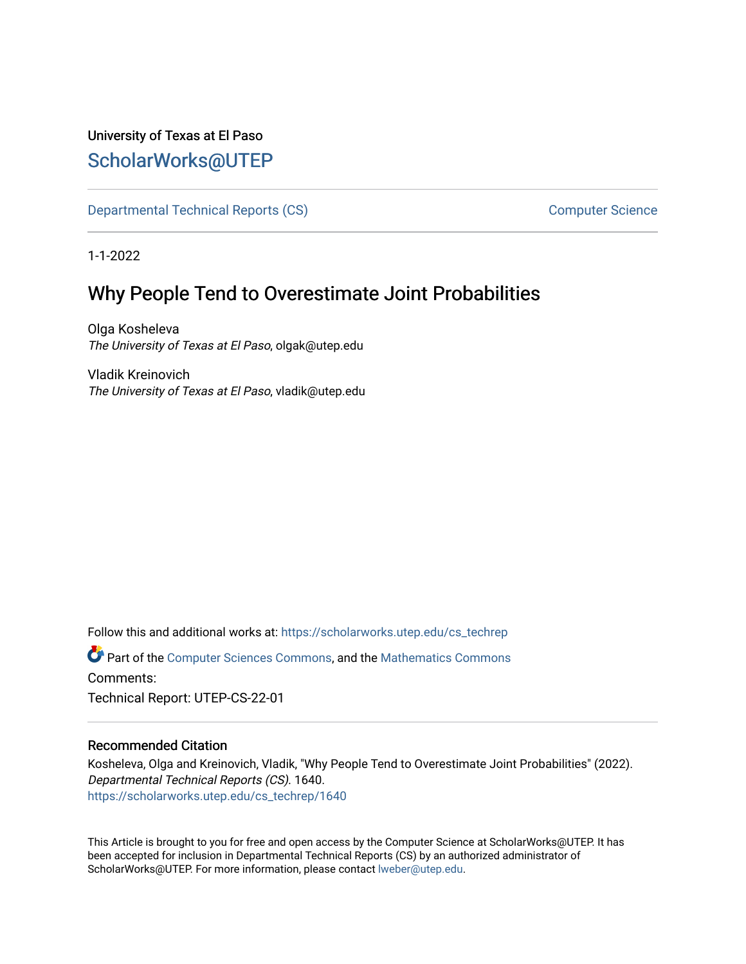# University of Texas at El Paso [ScholarWorks@UTEP](https://scholarworks.utep.edu/)

[Departmental Technical Reports \(CS\)](https://scholarworks.utep.edu/cs_techrep) [Computer Science](https://scholarworks.utep.edu/computer) 

1-1-2022

# Why People Tend to Overestimate Joint Probabilities

Olga Kosheleva The University of Texas at El Paso, olgak@utep.edu

Vladik Kreinovich The University of Texas at El Paso, vladik@utep.edu

Follow this and additional works at: [https://scholarworks.utep.edu/cs\\_techrep](https://scholarworks.utep.edu/cs_techrep?utm_source=scholarworks.utep.edu%2Fcs_techrep%2F1640&utm_medium=PDF&utm_campaign=PDFCoverPages) 

Part of the [Computer Sciences Commons](http://network.bepress.com/hgg/discipline/142?utm_source=scholarworks.utep.edu%2Fcs_techrep%2F1640&utm_medium=PDF&utm_campaign=PDFCoverPages), and the [Mathematics Commons](http://network.bepress.com/hgg/discipline/174?utm_source=scholarworks.utep.edu%2Fcs_techrep%2F1640&utm_medium=PDF&utm_campaign=PDFCoverPages)  Comments:

Technical Report: UTEP-CS-22-01

# Recommended Citation

Kosheleva, Olga and Kreinovich, Vladik, "Why People Tend to Overestimate Joint Probabilities" (2022). Departmental Technical Reports (CS). 1640. [https://scholarworks.utep.edu/cs\\_techrep/1640](https://scholarworks.utep.edu/cs_techrep/1640?utm_source=scholarworks.utep.edu%2Fcs_techrep%2F1640&utm_medium=PDF&utm_campaign=PDFCoverPages) 

This Article is brought to you for free and open access by the Computer Science at ScholarWorks@UTEP. It has been accepted for inclusion in Departmental Technical Reports (CS) by an authorized administrator of ScholarWorks@UTEP. For more information, please contact [lweber@utep.edu](mailto:lweber@utep.edu).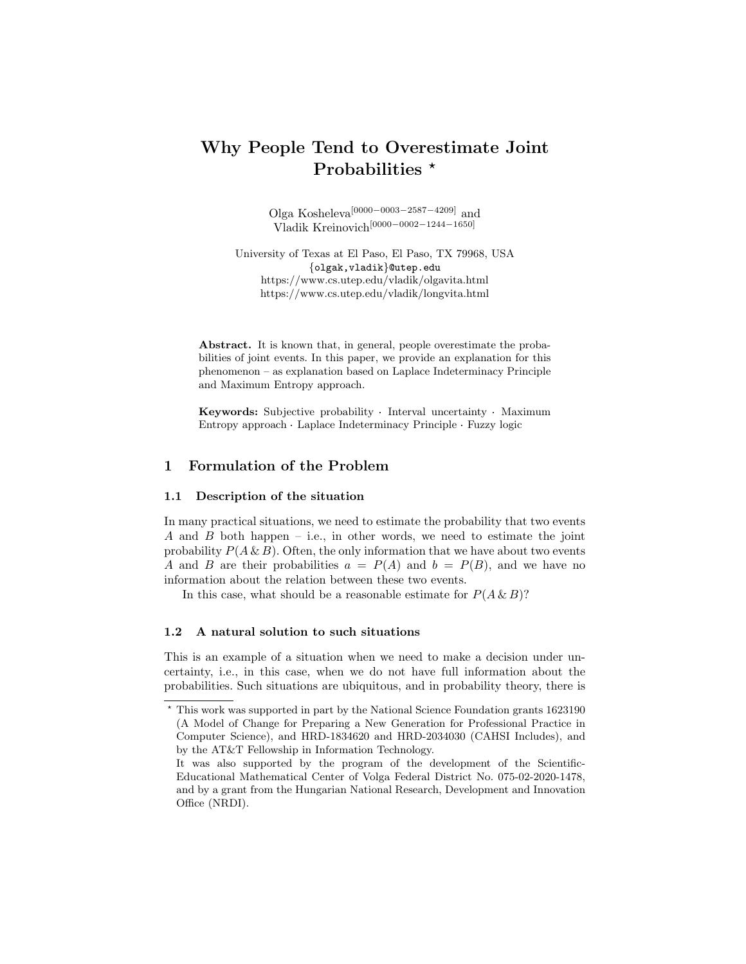# Why People Tend to Overestimate Joint Probabilities \*

Olga Kosheleva[0000−0003−2587−4209] and Vladik Kreinovich[0000−0002−1244−1650]

University of Texas at El Paso, El Paso, TX 79968, USA {olgak,vladik}@utep.edu https://www.cs.utep.edu/vladik/olgavita.html https://www.cs.utep.edu/vladik/longvita.html

Abstract. It is known that, in general, people overestimate the probabilities of joint events. In this paper, we provide an explanation for this phenomenon – as explanation based on Laplace Indeterminacy Principle and Maximum Entropy approach.

and maximum Entropy approach.<br>Keywords: Subjective probability · Interval uncertainty · Maximum **Keywords:** Subjective probability · Interval uncertainty · Max<br>Entropy approach · Laplace Indeterminacy Principle · Fuzzy logic

# 1 Formulation of the Problem

### 1.1 Description of the situation

In many practical situations, we need to estimate the probability that two events A and B both happen – i.e., in other words, we need to estimate the joint probability  $P(A \& B)$ . Often, the only information that we have about two events A and B are their probabilities  $a = P(A)$  and  $b = P(B)$ , and we have no information about the relation between these two events.

In this case, what should be a reasonable estimate for  $P(A \& B)$ ?

#### 1.2 A natural solution to such situations

This is an example of a situation when we need to make a decision under uncertainty, i.e., in this case, when we do not have full information about the probabilities. Such situations are ubiquitous, and in probability theory, there is

<sup>⋆</sup> This work was supported in part by the National Science Foundation grants 1623190 (A Model of Change for Preparing a New Generation for Professional Practice in Computer Science), and HRD-1834620 and HRD-2034030 (CAHSI Includes), and by the AT&T Fellowship in Information Technology.

It was also supported by the program of the development of the Scientific-Educational Mathematical Center of Volga Federal District No. 075-02-2020-1478, and by a grant from the Hungarian National Research, Development and Innovation Office (NRDI).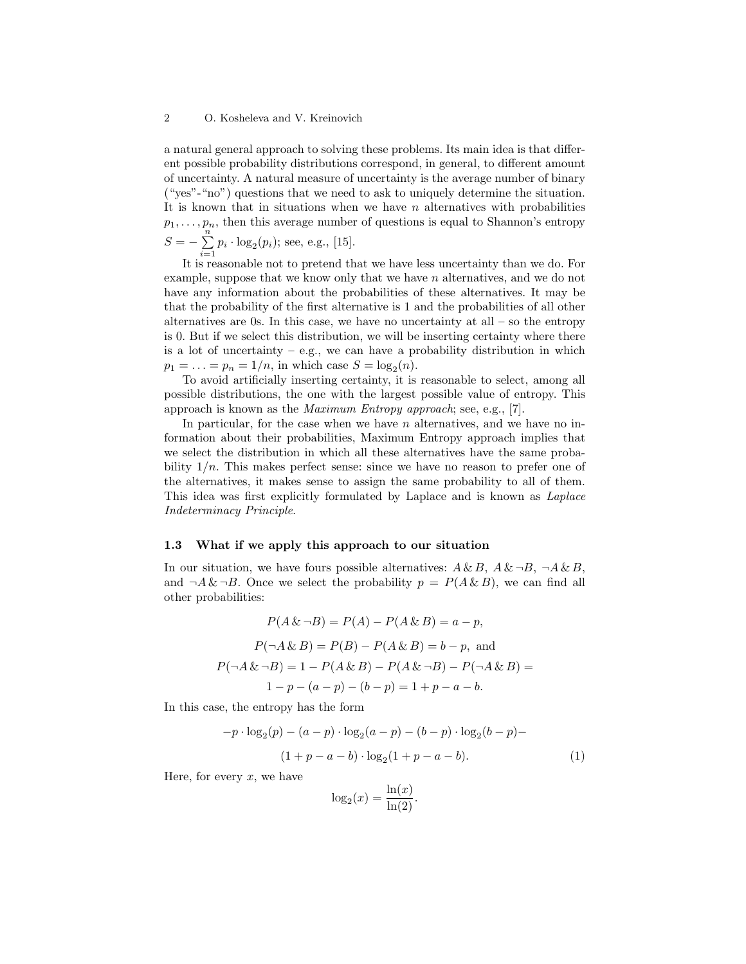#### 2 O. Kosheleva and V. Kreinovich

a natural general approach to solving these problems. Its main idea is that different possible probability distributions correspond, in general, to different amount of uncertainty. A natural measure of uncertainty is the average number of binary ("yes"-"no") questions that we need to ask to uniquely determine the situation. It is known that in situations when we have  $n$  alternatives with probabilities  $p_1, \ldots, p_n$ , then this average number of questions is equal to Shannon's entropy  $S = -\sum_{n=1}^{\infty}$  $\sum_{i=1} p_i \cdot \log_2(p_i)$ ; see, e.g., [15].

It is reasonable not to pretend that we have less uncertainty than we do. For example, suppose that we know only that we have n alternatives, and we do not have any information about the probabilities of these alternatives. It may be that the probability of the first alternative is 1 and the probabilities of all other alternatives are 0s. In this case, we have no uncertainty at all  $-$  so the entropy is 0. But if we select this distribution, we will be inserting certainty where there is a lot of uncertainty  $-$  e.g., we can have a probability distribution in which  $p_1 = \ldots = p_n = 1/n$ , in which case  $S = \log_2(n)$ .

To avoid artificially inserting certainty, it is reasonable to select, among all possible distributions, the one with the largest possible value of entropy. This approach is known as the Maximum Entropy approach; see, e.g., [7].

In particular, for the case when we have  $n$  alternatives, and we have no information about their probabilities, Maximum Entropy approach implies that we select the distribution in which all these alternatives have the same probability  $1/n$ . This makes perfect sense: since we have no reason to prefer one of the alternatives, it makes sense to assign the same probability to all of them. This idea was first explicitly formulated by Laplace and is known as Laplace Indeterminacy Principle.

#### 1.3 What if we apply this approach to our situation

In our situation, we have fours possible alternatives:  $A \& B$ ,  $A \& \neg B$ ,  $\neg A \& B$ , and  $\neg A \& \neg B$ . Once we select the probability  $p = P(A \& B)$ , we can find all other probabilities:

$$
P(A \& \neg B) = P(A) - P(A \& B) = a - p,
$$
  
\n
$$
P(\neg A \& B) = P(B) - P(A \& B) = b - p, \text{ and}
$$
  
\n
$$
P(\neg A \& \neg B) = 1 - P(A \& B) - P(A \& \neg B) - P(\neg A \& B) =
$$
  
\n
$$
1 - p - (a - p) - (b - p) = 1 + p - a - b.
$$

In this case, the entropy has the form

$$
-p \cdot \log_2(p) - (a-p) \cdot \log_2(a-p) - (b-p) \cdot \log_2(b-p) -
$$

$$
(1+p-a-b) \cdot \log_2(1+p-a-b).
$$
 (1)

Here, for every  $x$ , we have

$$
\log_2(x) = \frac{\ln(x)}{\ln(2)}.
$$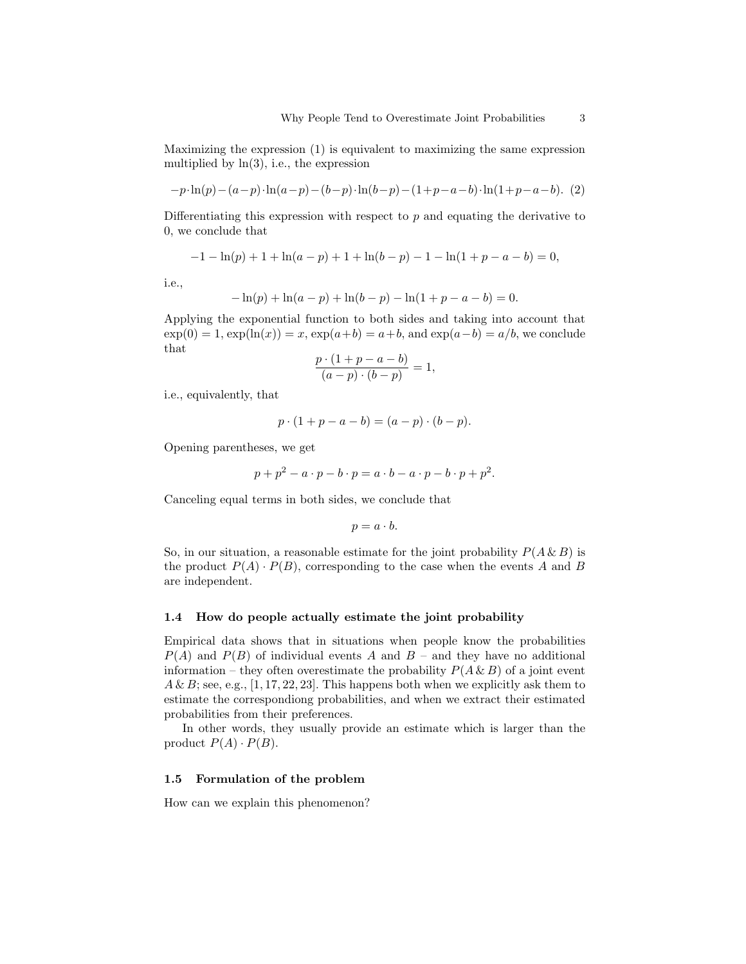Maximizing the expression (1) is equivalent to maximizing the same expression multiplied by  $ln(3)$ , i.e., the expression

$$
-p \cdot \ln(p) - (a-p) \cdot \ln(a-p) - (b-p) \cdot \ln(b-p) - (1+p-a-b) \cdot \ln(1+p-a-b). \tag{2}
$$

Differentiating this expression with respect to  $p$  and equating the derivative to 0, we conclude that

$$
-1 - \ln(p) + 1 + \ln(a - p) + 1 + \ln(b - p) - 1 - \ln(1 + p - a - b) = 0,
$$

i.e.,

$$
-\ln(p) + \ln(a-p) + \ln(b-p) - \ln(1+p-a-b) = 0.
$$

Applying the exponential function to both sides and taking into account that  $\exp(0) = 1$ ,  $\exp(\ln(x)) = x$ ,  $\exp(a+b) = a+b$ , and  $\exp(a-b) = a/b$ , we conclude that

$$
\frac{p \cdot (1 + p - a - b)}{(a - p) \cdot (b - p)} = 1,
$$

i.e., equivalently, that

$$
p \cdot (1 + p - a - b) = (a - p) \cdot (b - p).
$$

Opening parentheses, we get

$$
p + p2 - a \cdot p - b \cdot p = a \cdot b - a \cdot p - b \cdot p + p2.
$$

Canceling equal terms in both sides, we conclude that

$$
p = a \cdot b.
$$

So, in our situation, a reasonable estimate for the joint probability  $P(A \& B)$  is the product  $P(A) \cdot P(B)$ , corresponding to the case when the events A and B are independent.

#### 1.4 How do people actually estimate the joint probability

Empirical data shows that in situations when people know the probabilities  $P(A)$  and  $P(B)$  of individual events A and B – and they have no additional information – they often overestimate the probability  $P(A \& B)$  of a joint event  $A \& B$ ; see, e.g., [1, 17, 22, 23]. This happens both when we explicitly ask them to estimate the correspondiong probabilities, and when we extract their estimated probabilities from their preferences.

In other words, they usually provide an estimate which is larger than the product  $P(A) \cdot P(B)$ .

#### 1.5 Formulation of the problem

How can we explain this phenomenon?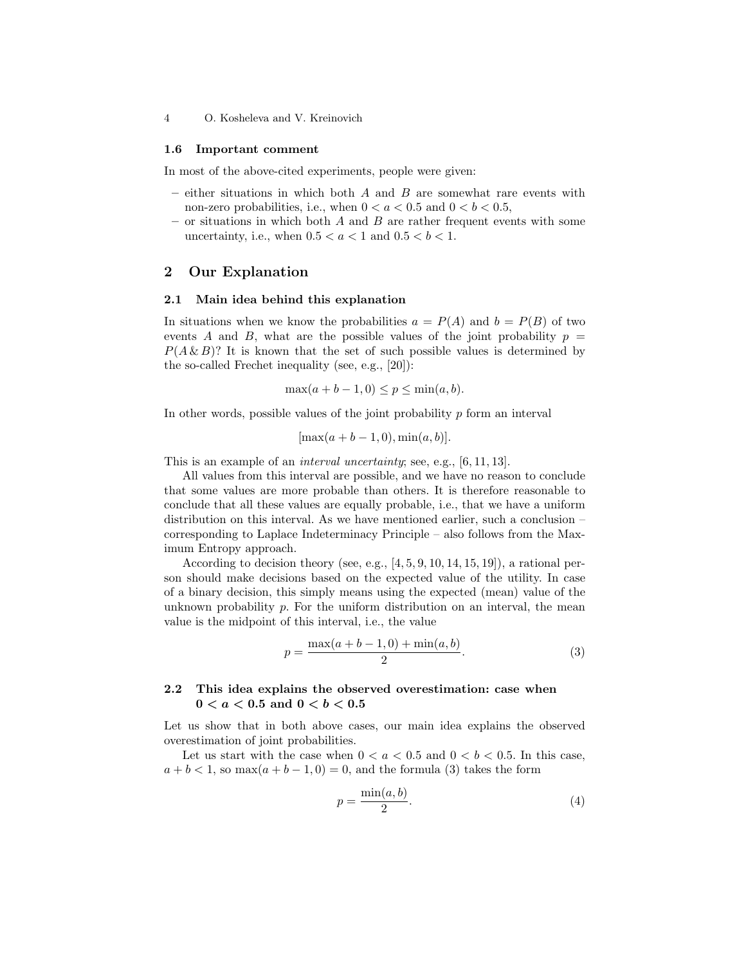4 O. Kosheleva and V. Kreinovich

#### 1.6 Important comment

In most of the above-cited experiments, people were given:

- $-$  either situations in which both  $A$  and  $B$  are somewhat rare events with non-zero probabilities, i.e., when  $0 < a < 0.5$  and  $0 < b < 0.5$ ,
- or situations in which both  $A$  and  $B$  are rather frequent events with some uncertainty, i.e., when  $0.5 < a < 1$  and  $0.5 < b < 1$ .

## 2 Our Explanation

#### 2.1 Main idea behind this explanation

In situations when we know the probabilities  $a = P(A)$  and  $b = P(B)$  of two events A and B, what are the possible values of the joint probability  $p =$  $P(A \& B)$ ? It is known that the set of such possible values is determined by the so-called Frechet inequality (see, e.g., [20]):

$$
\max(a+b-1,0) \le p \le \min(a,b).
$$

In other words, possible values of the joint probability  $p$  form an interval

$$
[\max(a+b-1,0),\min(a,b)].
$$

This is an example of an interval uncertainty; see, e.g., [6, 11, 13].

All values from this interval are possible, and we have no reason to conclude that some values are more probable than others. It is therefore reasonable to conclude that all these values are equally probable, i.e., that we have a uniform distribution on this interval. As we have mentioned earlier, such a conclusion – corresponding to Laplace Indeterminacy Principle – also follows from the Maximum Entropy approach.

According to decision theory (see, e.g., [4, 5, 9, 10, 14, 15, 19]), a rational person should make decisions based on the expected value of the utility. In case of a binary decision, this simply means using the expected (mean) value of the unknown probability  $p$ . For the uniform distribution on an interval, the mean value is the midpoint of this interval, i.e., the value

$$
p = \frac{\max(a+b-1,0) + \min(a,b)}{2}.
$$
 (3)

## 2.2 This idea explains the observed overestimation: case when  $0 < a < 0.5$  and  $0 < b < 0.5$

Let us show that in both above cases, our main idea explains the observed overestimation of joint probabilities.

Let us start with the case when  $0 < a < 0.5$  and  $0 < b < 0.5$ . In this case,  $a + b < 1$ , so max $(a + b - 1, 0) = 0$ , and the formula (3) takes the form

$$
p = \frac{\min(a, b)}{2}.\tag{4}
$$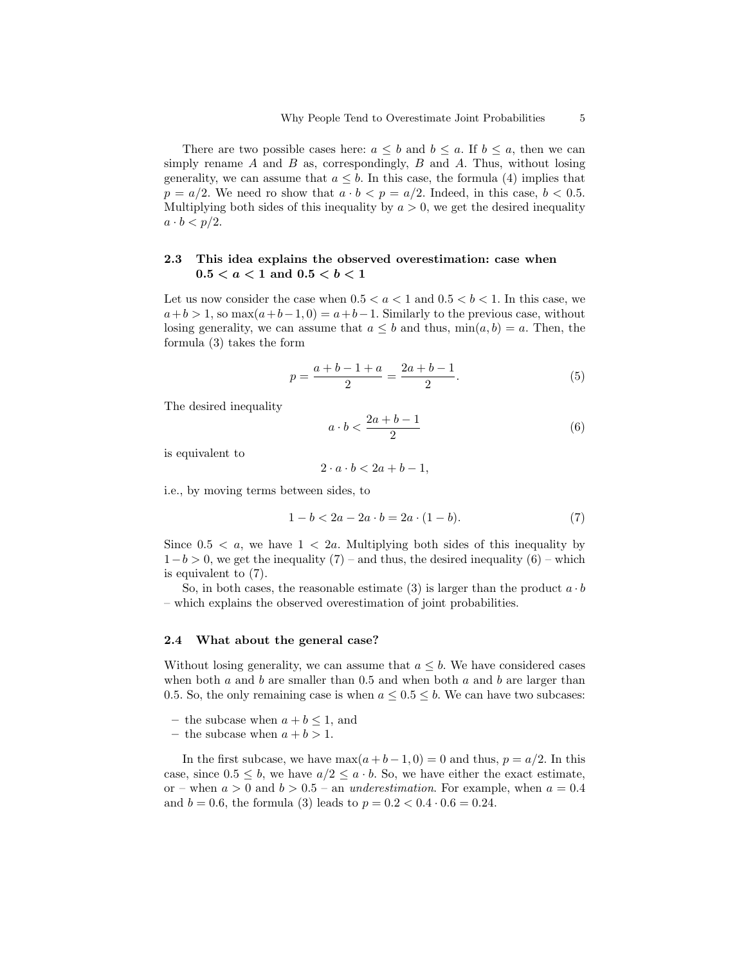There are two possible cases here:  $a \leq b$  and  $b \leq a$ . If  $b \leq a$ , then we can simply rename  $A$  and  $B$  as, correspondingly,  $B$  and  $A$ . Thus, without losing generality, we can assume that  $a \leq b$ . In this case, the formula (4) implies that  $p = a/2$ . We need ro show that  $a \cdot b < p = a/2$ . Indeed, in this case,  $b < 0.5$ . Multiplying both sides of this inequality by  $a > 0$ , we get the desired inequality  $a \cdot b < p/2$ .

## 2.3 This idea explains the observed overestimation: case when  $0.5 < a < 1$  and  $0.5 < b < 1$

Let us now consider the case when  $0.5 < a < 1$  and  $0.5 < b < 1$ . In this case, we  $a+b>1$ , so max $(a+b-1, 0) = a+b-1$ . Similarly to the previous case, without losing generality, we can assume that  $a \leq b$  and thus,  $\min(a, b) = a$ . Then, the formula (3) takes the form

$$
p = \frac{a+b-1+a}{2} = \frac{2a+b-1}{2}.
$$
 (5)

The desired inequality

$$
a \cdot b < \frac{2a + b - 1}{2} \tag{6}
$$

is equivalent to

$$
2 \cdot a \cdot b < 2a + b - 1,
$$

i.e., by moving terms between sides, to

$$
1 - b < 2a - 2a \cdot b = 2a \cdot (1 - b). \tag{7}
$$

Since  $0.5 < a$ , we have  $1 < 2a$ . Multiplying both sides of this inequality by  $1-b > 0$ , we get the inequality  $(7)$  – and thus, the desired inequality  $(6)$  – which is equivalent to (7).

So, in both cases, the reasonable estimate (3) is larger than the product  $a \cdot b$ – which explains the observed overestimation of joint probabilities.

#### 2.4 What about the general case?

Without losing generality, we can assume that  $a \leq b$ . We have considered cases when both a and b are smaller than 0.5 and when both a and b are larger than 0.5. So, the only remaining case is when  $a \leq 0.5 \leq b$ . We can have two subcases:

- the subcase when  $a + b \leq 1$ , and
- the subcase when  $a + b > 1$ .

In the first subcase, we have  $\max(a+b-1,0) = 0$  and thus,  $p = a/2$ . In this case, since  $0.5 \leq b$ , we have  $a/2 \leq a \cdot b$ . So, we have either the exact estimate, or – when  $a > 0$  and  $b > 0.5$  – an *underestimation*. For example, when  $a = 0.4$ and  $b = 0.6$ , the formula (3) leads to  $p = 0.2 < 0.4 \cdot 0.6 = 0.24$ .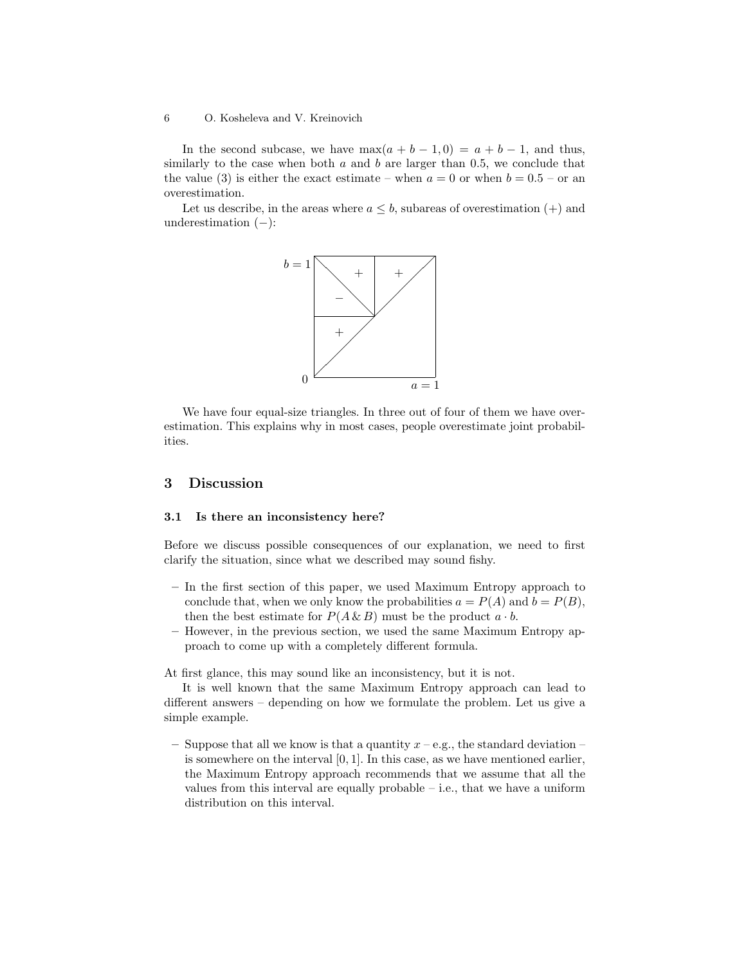#### 6 O. Kosheleva and V. Kreinovich

In the second subcase, we have  $\max(a + b - 1, 0) = a + b - 1$ , and thus, similarly to the case when both  $a$  and  $b$  are larger than 0.5, we conclude that the value (3) is either the exact estimate – when  $a = 0$  or when  $b = 0.5$  – or an overestimation.

Let us describe, in the areas where  $a \leq b$ , subareas of overestimation  $(+)$  and underestimation  $(-)$ :



We have four equal-size triangles. In three out of four of them we have overestimation. This explains why in most cases, people overestimate joint probabilities.

# 3 Discussion

#### 3.1 Is there an inconsistency here?

Before we discuss possible consequences of our explanation, we need to first clarify the situation, since what we described may sound fishy.

- In the first section of this paper, we used Maximum Entropy approach to conclude that, when we only know the probabilities  $a = P(A)$  and  $b = P(B)$ , then the best estimate for  $P(A \& B)$  must be the product  $a \cdot b$ .
- However, in the previous section, we used the same Maximum Entropy approach to come up with a completely different formula.

At first glance, this may sound like an inconsistency, but it is not.

It is well known that the same Maximum Entropy approach can lead to different answers – depending on how we formulate the problem. Let us give a simple example.

– Suppose that all we know is that a quantity  $x - e.g.,$  the standard deviation – is somewhere on the interval  $[0, 1]$ . In this case, as we have mentioned earlier, the Maximum Entropy approach recommends that we assume that all the values from this interval are equally probable – i.e., that we have a uniform distribution on this interval.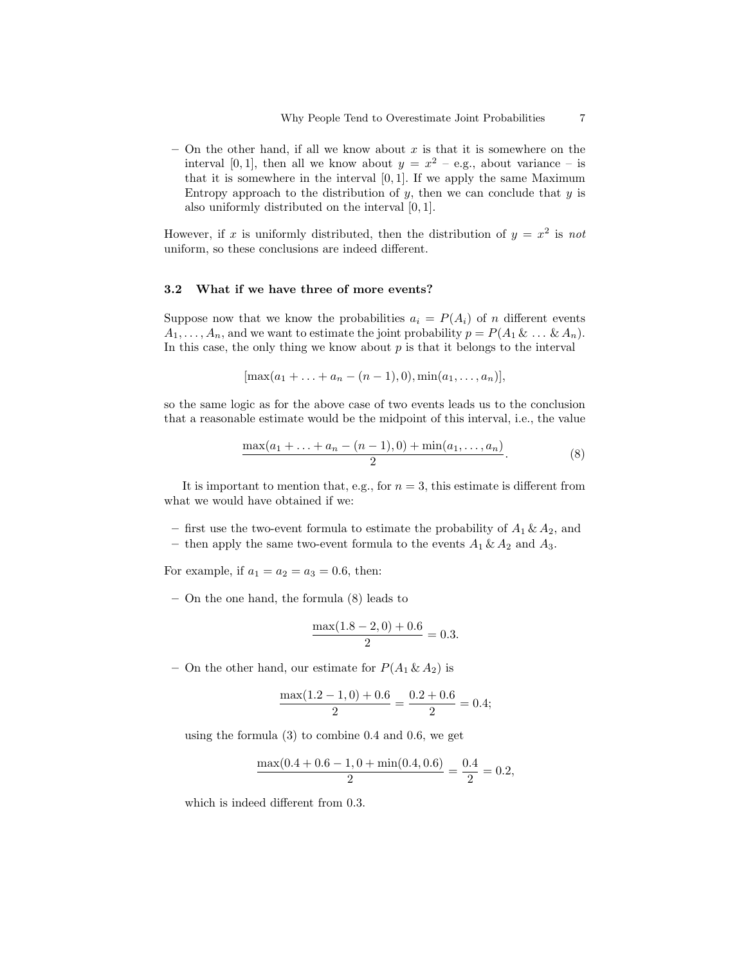– On the other hand, if all we know about  $x$  is that it is somewhere on the interval [0, 1], then all we know about  $y = x^2 - e.g.,$  about variance  $-$  is that it is somewhere in the interval  $[0, 1]$ . If we apply the same Maximum Entropy approach to the distribution of  $y$ , then we can conclude that  $y$  is also uniformly distributed on the interval [0, 1].

However, if x is uniformly distributed, then the distribution of  $y = x^2$  is not uniform, so these conclusions are indeed different.

#### 3.2 What if we have three of more events?

Suppose now that we know the probabilities  $a_i = P(A_i)$  of n different events  $A_1, \ldots, A_n$ , and we want to estimate the joint probability  $p = P(A_1 \& \ldots \& A_n)$ . In this case, the only thing we know about  $p$  is that it belongs to the interval

$$
[\max(a_1 + \ldots + a_n - (n-1), 0), \min(a_1, \ldots, a_n)],
$$

so the same logic as for the above case of two events leads us to the conclusion that a reasonable estimate would be the midpoint of this interval, i.e., the value

$$
\frac{\max(a_1 + \ldots + a_n - (n-1), 0) + \min(a_1, \ldots, a_n)}{2}.
$$
 (8)

It is important to mention that, e.g., for  $n = 3$ , this estimate is different from what we would have obtained if we:

– first use the two-event formula to estimate the probability of  $A_1 \& A_2$ , and

– then apply the same two-event formula to the events  $A_1 \& A_2$  and  $A_3$ .

For example, if  $a_1 = a_2 = a_3 = 0.6$ , then:

– On the one hand, the formula (8) leads to

$$
\frac{\max(1.8 - 2, 0) + 0.6}{2} = 0.3.
$$

– On the other hand, our estimate for  $P(A_1 \& A_2)$  is

$$
\frac{\max(1.2 - 1, 0) + 0.6}{2} = \frac{0.2 + 0.6}{2} = 0.4;
$$

using the formula (3) to combine 0.4 and 0.6, we get

$$
\frac{\max(0.4 + 0.6 - 1, 0 + \min(0.4, 0.6))}{2} = \frac{0.4}{2} = 0.2,
$$

which is indeed different from 0.3.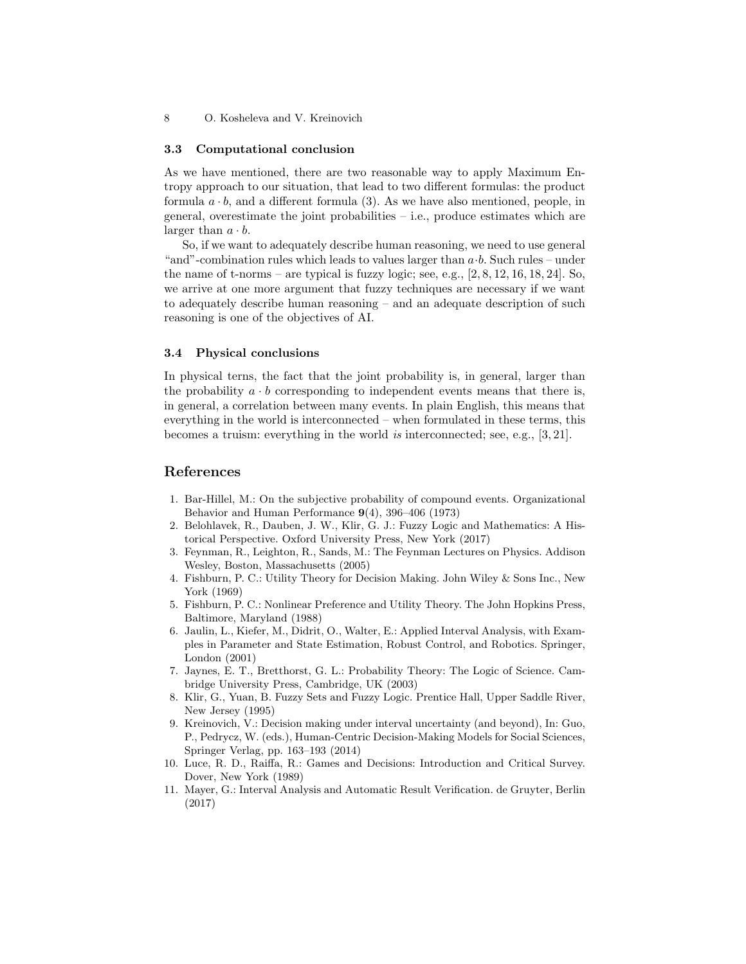#### 3.3 Computational conclusion

As we have mentioned, there are two reasonable way to apply Maximum Entropy approach to our situation, that lead to two different formulas: the product formula  $a \cdot b$ , and a different formula (3). As we have also mentioned, people, in general, overestimate the joint probabilities  $-$  i.e., produce estimates which are larger than  $a \cdot b$ .

So, if we want to adequately describe human reasoning, we need to use general "and"-combination rules which leads to values larger than  $a \cdot b$ . Such rules – under the name of t-norms – are typical is fuzzy logic; see, e.g.,  $[2, 8, 12, 16, 18, 24]$ . So, we arrive at one more argument that fuzzy techniques are necessary if we want to adequately describe human reasoning – and an adequate description of such reasoning is one of the objectives of AI.

#### 3.4 Physical conclusions

In physical terns, the fact that the joint probability is, in general, larger than the probability  $a \cdot b$  corresponding to independent events means that there is, in general, a correlation between many events. In plain English, this means that everything in the world is interconnected – when formulated in these terms, this becomes a truism: everything in the world is interconnected; see, e.g., [3, 21].

# References

- 1. Bar-Hillel, M.: On the subjective probability of compound events. Organizational Behavior and Human Performance 9(4), 396–406 (1973)
- 2. Belohlavek, R., Dauben, J. W., Klir, G. J.: Fuzzy Logic and Mathematics: A Historical Perspective. Oxford University Press, New York (2017)
- 3. Feynman, R., Leighton, R., Sands, M.: The Feynman Lectures on Physics. Addison Wesley, Boston, Massachusetts (2005)
- 4. Fishburn, P. C.: Utility Theory for Decision Making. John Wiley & Sons Inc., New York (1969)
- 5. Fishburn, P. C.: Nonlinear Preference and Utility Theory. The John Hopkins Press, Baltimore, Maryland (1988)
- 6. Jaulin, L., Kiefer, M., Didrit, O., Walter, E.: Applied Interval Analysis, with Examples in Parameter and State Estimation, Robust Control, and Robotics. Springer, London (2001)
- 7. Jaynes, E. T., Bretthorst, G. L.: Probability Theory: The Logic of Science. Cambridge University Press, Cambridge, UK (2003)
- 8. Klir, G., Yuan, B. Fuzzy Sets and Fuzzy Logic. Prentice Hall, Upper Saddle River, New Jersey (1995)
- 9. Kreinovich, V.: Decision making under interval uncertainty (and beyond), In: Guo, P., Pedrycz, W. (eds.), Human-Centric Decision-Making Models for Social Sciences, Springer Verlag, pp. 163–193 (2014)
- 10. Luce, R. D., Raiffa, R.: Games and Decisions: Introduction and Critical Survey. Dover, New York (1989)
- 11. Mayer, G.: Interval Analysis and Automatic Result Verification. de Gruyter, Berlin (2017)